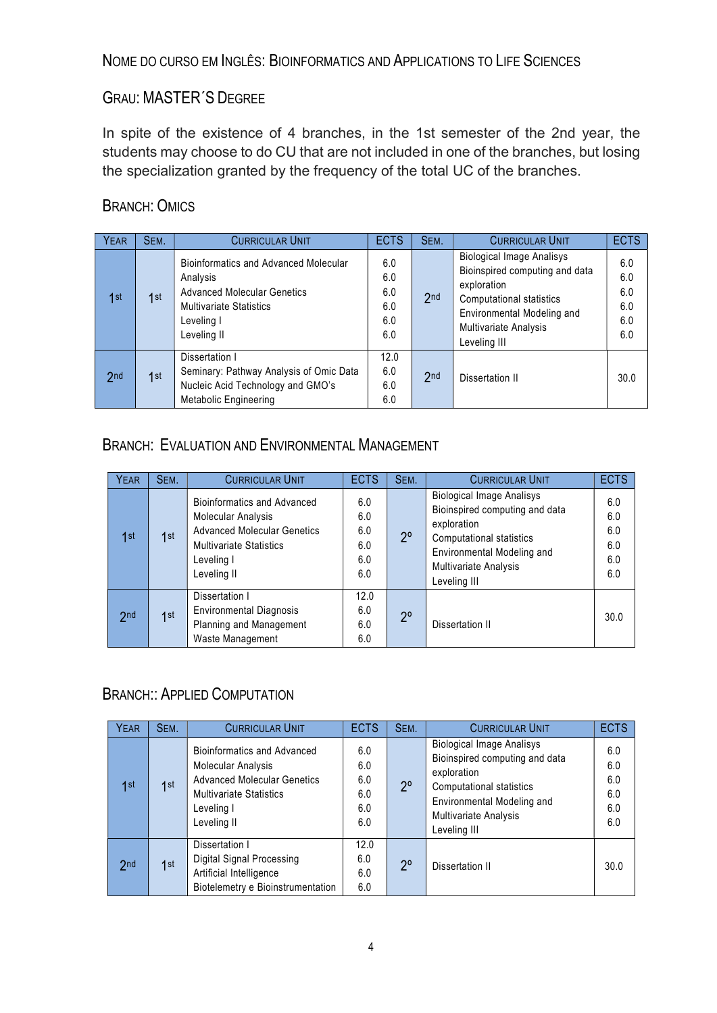#### GRAU: MASTER´S DEGREE

In spite of the existence of 4 branches, in the 1st semester of the 2nd year, the students may choose to do CU that are not included in one of the branches, but losing the specialization granted by the frequency of the total UC of the branches.

#### BRANCH: OMICS

| <b>YEAR</b>     | SEM. | <b>CURRICULAR UNIT</b>                                                                                                                                 | <b>ECTS</b>                            | SEM.            | <b>CURRICULAR UNIT</b>                                                                                                                                                                             | <b>ECTS</b>                            |
|-----------------|------|--------------------------------------------------------------------------------------------------------------------------------------------------------|----------------------------------------|-----------------|----------------------------------------------------------------------------------------------------------------------------------------------------------------------------------------------------|----------------------------------------|
| 1st             | 1st  | Bioinformatics and Advanced Molecular<br>Analysis<br><b>Advanced Molecular Genetics</b><br><b>Multivariate Statistics</b><br>Leveling I<br>Leveling II | 6.0<br>6.0<br>6.0<br>6.0<br>6.0<br>6.0 | 2 <sub>nd</sub> | <b>Biological Image Analisys</b><br>Bioinspired computing and data<br>exploration<br><b>Computational statistics</b><br>Environmental Modeling and<br><b>Multivariate Analysis</b><br>Leveling III | 6.0<br>6.0<br>6.0<br>6.0<br>6.0<br>6.0 |
| 2 <sub>nd</sub> | 1st  | Dissertation I<br>Seminary: Pathway Analysis of Omic Data<br>Nucleic Acid Technology and GMO's<br><b>Metabolic Engineering</b>                         | 12.0<br>6.0<br>6.0<br>6.0              | 2 <sub>nd</sub> | Dissertation II                                                                                                                                                                                    | 30.0                                   |

#### BRANCH: EVALUATION AND ENVIRONMENTAL MANAGEMENT

| <b>YEAR</b> | SEM. | <b>CURRICULAR UNIT</b>                                                                                                                                               | <b>ECTS</b>                            | SEM.        | <b>CURRICULAR UNIT</b>                                                                                                                                                                      | <b>ECTS</b>                            |
|-------------|------|----------------------------------------------------------------------------------------------------------------------------------------------------------------------|----------------------------------------|-------------|---------------------------------------------------------------------------------------------------------------------------------------------------------------------------------------------|----------------------------------------|
| 1st         | 1st  | <b>Bioinformatics and Advanced</b><br><b>Molecular Analysis</b><br><b>Advanced Molecular Genetics</b><br><b>Multivariate Statistics</b><br>Leveling I<br>Leveling II | 6.0<br>6.0<br>6.0<br>6.0<br>6.0<br>6.0 | $2^{\circ}$ | <b>Biological Image Analisys</b><br>Bioinspired computing and data<br>exploration<br><b>Computational statistics</b><br>Environmental Modeling and<br>Multivariate Analysis<br>Leveling III | 6.0<br>6.0<br>6.0<br>6.0<br>6.0<br>6.0 |
| 2nd         | 1st  | Dissertation I<br><b>Environmental Diagnosis</b><br>Planning and Management<br>Waste Management                                                                      | 12.0<br>6.0<br>6.0<br>6.0              | $2^{\circ}$ | Dissertation II                                                                                                                                                                             | 30.0                                   |

#### BRANCH:: APPLIED COMPUTATION

| <b>YEAR</b> | SEM. | <b>CURRICULAR UNIT</b>                                                                                                                                               | <b>ECTS</b>                            | SEM.        | <b>CURRICULAR UNIT</b>                                                                                                                                                               | <b>ECTS</b>                            |
|-------------|------|----------------------------------------------------------------------------------------------------------------------------------------------------------------------|----------------------------------------|-------------|--------------------------------------------------------------------------------------------------------------------------------------------------------------------------------------|----------------------------------------|
| 1st         | 1st  | <b>Bioinformatics and Advanced</b><br><b>Molecular Analysis</b><br><b>Advanced Molecular Genetics</b><br><b>Multivariate Statistics</b><br>Leveling I<br>Leveling II | 6.0<br>6.0<br>6.0<br>6.0<br>6.0<br>6.0 | $2^{\circ}$ | <b>Biological Image Analisys</b><br>Bioinspired computing and data<br>exploration<br>Computational statistics<br>Environmental Modeling and<br>Multivariate Analysis<br>Leveling III | 6.0<br>6.0<br>6.0<br>6.0<br>6.0<br>6.0 |
| 2nd         | 1st  | Dissertation I<br>Digital Signal Processing<br>Artificial Intelligence<br>Biotelemetry e Bioinstrumentation                                                          | 12.0<br>6.0<br>6.0<br>6.0              | 20          | Dissertation II                                                                                                                                                                      | 30.0                                   |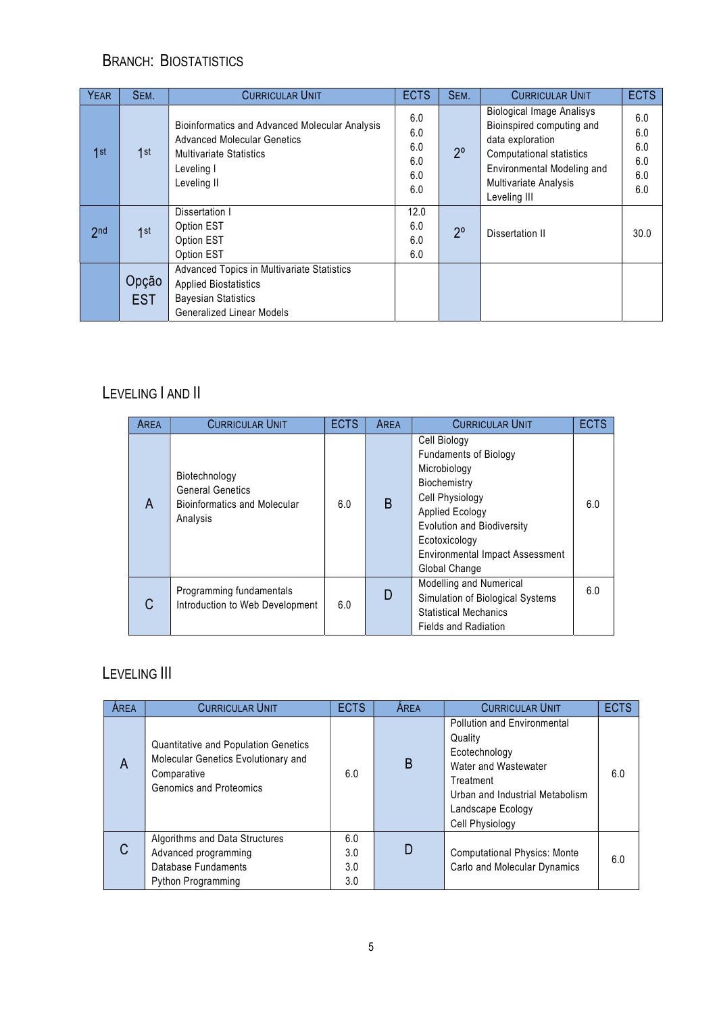### BRANCH: BIOSTATISTICS

| <b>YEAR</b>     | SEM.                | <b>CURRICULAR UNIT</b>                                                                                                                              | <b>ECTS</b>                            | SEM.        | <b>CURRICULAR UNIT</b>                                                                                                                                                                             | <b>ECTS</b>                            |
|-----------------|---------------------|-----------------------------------------------------------------------------------------------------------------------------------------------------|----------------------------------------|-------------|----------------------------------------------------------------------------------------------------------------------------------------------------------------------------------------------------|----------------------------------------|
| 1st             | 1st                 | Bioinformatics and Advanced Molecular Analysis<br><b>Advanced Molecular Genetics</b><br><b>Multivariate Statistics</b><br>Leveling I<br>Leveling II | 6.0<br>6.0<br>6.0<br>6.0<br>6.0<br>6.0 | $2^{\circ}$ | <b>Biological Image Analisys</b><br>Bioinspired computing and<br>data exploration<br><b>Computational statistics</b><br>Environmental Modeling and<br><b>Multivariate Analysis</b><br>Leveling III | 6.0<br>6.0<br>6.0<br>6.0<br>6.0<br>6.0 |
| 2 <sub>nd</sub> | 1st                 | Dissertation I<br>Option EST<br>Option EST<br>Option EST                                                                                            | 12.0<br>6.0<br>6.0<br>6.0              | $2^{\circ}$ | Dissertation II                                                                                                                                                                                    | 30.0                                   |
|                 | Opção<br><b>EST</b> | Advanced Topics in Multivariate Statistics<br><b>Applied Biostatistics</b><br><b>Bayesian Statistics</b><br><b>Generalized Linear Models</b>        |                                        |             |                                                                                                                                                                                                    |                                        |

## LEVELING | AND ||

| <b>AREA</b> | <b>CURRICULAR UNIT</b>                                                                      | <b>ECTS</b> | AREA | <b>CURRICULAR UNIT</b>                                                                                                                                                                                                              | <b>ECTS</b> |
|-------------|---------------------------------------------------------------------------------------------|-------------|------|-------------------------------------------------------------------------------------------------------------------------------------------------------------------------------------------------------------------------------------|-------------|
| A           | Biotechnology<br><b>General Genetics</b><br><b>Bioinformatics and Molecular</b><br>Analysis | 6.0         | B    | Cell Biology<br><b>Fundaments of Biology</b><br>Microbiology<br>Biochemistry<br>Cell Physiology<br>Applied Ecology<br><b>Evolution and Biodiversity</b><br>Ecotoxicology<br><b>Environmental Impact Assessment</b><br>Global Change | 6.0         |
|             | Programming fundamentals<br>Introduction to Web Development                                 | 6.0         | D    | <b>Modelling and Numerical</b><br>Simulation of Biological Systems<br><b>Statistical Mechanics</b><br><b>Fields and Radiation</b>                                                                                                   | 6.0         |

# LEVELING III

| AREA | <b>CURRICULAR UNIT</b>                                                                                                       | <b>ECTS</b>              | AREA | <b>CURRICULAR UNIT</b>                                                                                                                                                  | <b>ECTS</b> |
|------|------------------------------------------------------------------------------------------------------------------------------|--------------------------|------|-------------------------------------------------------------------------------------------------------------------------------------------------------------------------|-------------|
| A    | Quantitative and Population Genetics<br>Molecular Genetics Evolutionary and<br>Comparative<br><b>Genomics and Proteomics</b> | 6.0                      | B    | Pollution and Environmental<br>Quality<br>Ecotechnology<br>Water and Wastewater<br>Treatment<br>Urban and Industrial Metabolism<br>Landscape Ecology<br>Cell Physiology | 6.0         |
| C    | Algorithms and Data Structures<br>Advanced programming<br>Database Fundaments<br>Python Programming                          | 6.0<br>3.0<br>3.0<br>3.0 | D    | <b>Computational Physics: Monte</b><br>Carlo and Molecular Dynamics                                                                                                     | 6.0         |